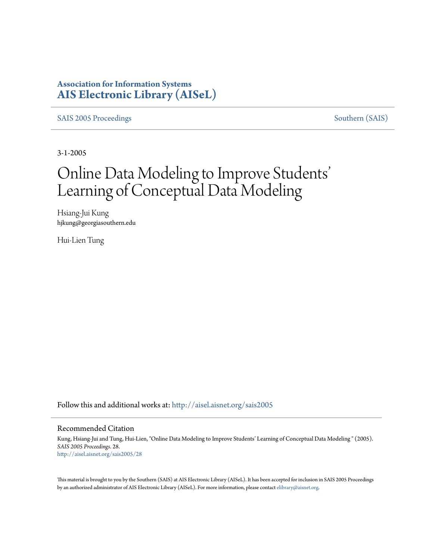# **Association for Information Systems [AIS Electronic Library \(AISeL\)](http://aisel.aisnet.org?utm_source=aisel.aisnet.org%2Fsais2005%2F28&utm_medium=PDF&utm_campaign=PDFCoverPages)**

[SAIS 2005 Proceedings](http://aisel.aisnet.org/sais2005?utm_source=aisel.aisnet.org%2Fsais2005%2F28&utm_medium=PDF&utm_campaign=PDFCoverPages) [Southern \(SAIS\)](http://aisel.aisnet.org/sais?utm_source=aisel.aisnet.org%2Fsais2005%2F28&utm_medium=PDF&utm_campaign=PDFCoverPages)

3-1-2005

# Online Data Modeling to Improve Students ' Learning of Conceptual Data Modeling

Hsiang-Jui Kung hjkung@georgiasouthern.edu

Hui-Lien Tung

Follow this and additional works at: [http://aisel.aisnet.org/sais2005](http://aisel.aisnet.org/sais2005?utm_source=aisel.aisnet.org%2Fsais2005%2F28&utm_medium=PDF&utm_campaign=PDFCoverPages)

#### Recommended Citation

Kung, Hsiang-Jui and Tung, Hui-Lien, "Online Data Modeling to Improve Students' Learning of Conceptual Data Modeling " (2005). *SAIS 2005 Proceedings*. 28. [http://aisel.aisnet.org/sais2005/28](http://aisel.aisnet.org/sais2005/28?utm_source=aisel.aisnet.org%2Fsais2005%2F28&utm_medium=PDF&utm_campaign=PDFCoverPages)

This material is brought to you by the Southern (SAIS) at AIS Electronic Library (AISeL). It has been accepted for inclusion in SAIS 2005 Proceedings by an authorized administrator of AIS Electronic Library (AISeL). For more information, please contact [elibrary@aisnet.org](mailto:elibrary@aisnet.org%3E).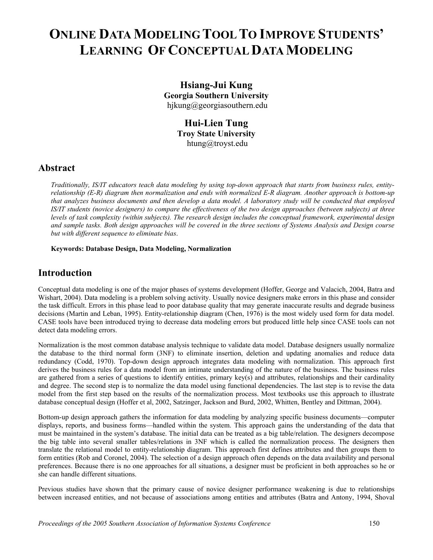# **ONLINE DATA MODELING TOOL TO IMPROVE STUDENTS' LEARNING OF CONCEPTUAL DATA MODELING**

**Hsiang-Jui Kung Georgia Southern University**  hjkung@georgiasouthern.edu

> **Hui-Lien Tung Troy State University**  htung@troyst.edu

## **Abstract**

*Traditionally, IS/IT educators teach data modeling by using top-down approach that starts from business rules, entityrelationship (E-R) diagram then normalization and ends with normalized E-R diagram. Another approach is bottom-up that analyzes business documents and then develop a data model. A laboratory study will be conducted that employed IS/IT students (novice designers) to compare the effectiveness of the two design approaches (between subjects) at three levels of task complexity (within subjects). The research design includes the conceptual framework, experimental design and sample tasks. Both design approaches will be covered in the three sections of Systems Analysis and Design course but with different sequence to eliminate bias*.

#### **Keywords: Database Design, Data Modeling, Normalization**

## **Introduction**

Conceptual data modeling is one of the major phases of systems development (Hoffer, George and Valacich, 2004, Batra and Wishart, 2004). Data modeling is a problem solving activity. Usually novice designers make errors in this phase and consider the task difficult. Errors in this phase lead to poor database quality that may generate inaccurate results and degrade business decisions (Martin and Leban, 1995). Entity-relationship diagram (Chen, 1976) is the most widely used form for data model. CASE tools have been introduced trying to decrease data modeling errors but produced little help since CASE tools can not detect data modeling errors.

Normalization is the most common database analysis technique to validate data model. Database designers usually normalize the database to the third normal form (3NF) to eliminate insertion, deletion and updating anomalies and reduce data redundancy (Codd, 1970). Top-down design approach integrates data modeling with normalization. This approach first derives the business rules for a data model from an intimate understanding of the nature of the business. The business rules are gathered from a series of questions to identify entities, primary key(s) and attributes, relationships and their cardinality and degree. The second step is to normalize the data model using functional dependencies. The last step is to revise the data model from the first step based on the results of the normalization process. Most textbooks use this approach to illustrate database conceptual design (Hoffer et al, 2002, Satzinger, Jackson and Burd, 2002, Whitten, Bentley and Dittman, 2004).

Bottom-up design approach gathers the information for data modeling by analyzing specific business documents—computer displays, reports, and business forms—handled within the system. This approach gains the understanding of the data that must be maintained in the system's database. The initial data can be treated as a big table/relation. The designers decompose the big table into several smaller tables/relations in 3NF which is called the normalization process. The designers then translate the relational model to entity-relationship diagram. This approach first defines attributes and then groups them to form entities (Rob and Coronel, 2004). The selection of a design approach often depends on the data availability and personal preferences. Because there is no one approaches for all situations, a designer must be proficient in both approaches so he or she can handle different situations.

Previous studies have shown that the primary cause of novice designer performance weakening is due to relationships between increased entities, and not because of associations among entities and attributes (Batra and Antony, 1994, Shoval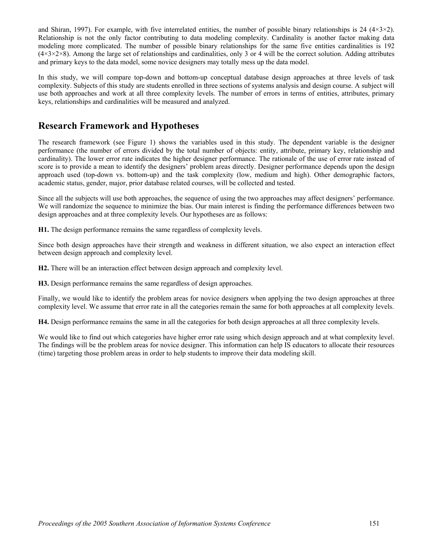and Shiran, 1997). For example, with five interrelated entities, the number of possible binary relationships is 24 ( $4\times3\times2$ ). Relationship is not the only factor contributing to data modeling complexity. Cardinality is another factor making data modeling more complicated. The number of possible binary relationships for the same five entities cardinalities is 192  $(4\times3\times2\times8)$ . Among the large set of relationships and cardinalities, only 3 or 4 will be the correct solution. Adding attributes and primary keys to the data model, some novice designers may totally mess up the data model.

In this study, we will compare top-down and bottom-up conceptual database design approaches at three levels of task complexity. Subjects of this study are students enrolled in three sections of systems analysis and design course. A subject will use both approaches and work at all three complexity levels. The number of errors in terms of entities, attributes, primary keys, relationships and cardinalities will be measured and analyzed.

# **Research Framework and Hypotheses**

The research framework (see Figure 1) shows the variables used in this study. The dependent variable is the designer performance (the number of errors divided by the total number of objects: entity, attribute, primary key, relationship and cardinality). The lower error rate indicates the higher designer performance. The rationale of the use of error rate instead of score is to provide a mean to identify the designers' problem areas directly. Designer performance depends upon the design approach used (top-down vs. bottom-up) and the task complexity (low, medium and high). Other demographic factors, academic status, gender, major, prior database related courses, will be collected and tested.

Since all the subjects will use both approaches, the sequence of using the two approaches may affect designers' performance. We will randomize the sequence to minimize the bias. Our main interest is finding the performance differences between two design approaches and at three complexity levels. Our hypotheses are as follows:

**H1.** The design performance remains the same regardless of complexity levels.

Since both design approaches have their strength and weakness in different situation, we also expect an interaction effect between design approach and complexity level.

**H2.** There will be an interaction effect between design approach and complexity level.

**H3.** Design performance remains the same regardless of design approaches.

Finally, we would like to identify the problem areas for novice designers when applying the two design approaches at three complexity level. We assume that error rate in all the categories remain the same for both approaches at all complexity levels.

**H4.** Design performance remains the same in all the categories for both design approaches at all three complexity levels.

We would like to find out which categories have higher error rate using which design approach and at what complexity level. The findings will be the problem areas for novice designer. This information can help IS educators to allocate their resources (time) targeting those problem areas in order to help students to improve their data modeling skill.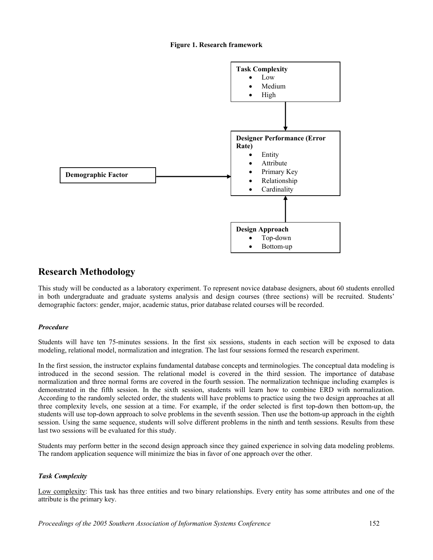#### **Figure 1. Research framework**



## **Research Methodology**

This study will be conducted as a laboratory experiment. To represent novice database designers, about 60 students enrolled in both undergraduate and graduate systems analysis and design courses (three sections) will be recruited. Students' demographic factors: gender, major, academic status, prior database related courses will be recorded.

#### *Procedure*

Students will have ten 75-minutes sessions. In the first six sessions, students in each section will be exposed to data modeling, relational model, normalization and integration. The last four sessions formed the research experiment.

In the first session, the instructor explains fundamental database concepts and terminologies. The conceptual data modeling is introduced in the second session. The relational model is covered in the third session. The importance of database normalization and three normal forms are covered in the fourth session. The normalization technique including examples is demonstrated in the fifth session. In the sixth session, students will learn how to combine ERD with normalization. According to the randomly selected order, the students will have problems to practice using the two design approaches at all three complexity levels, one session at a time. For example, if the order selected is first top-down then bottom-up, the students will use top-down approach to solve problems in the seventh session. Then use the bottom-up approach in the eighth session. Using the same sequence, students will solve different problems in the ninth and tenth sessions. Results from these last two sessions will be evaluated for this study.

Students may perform better in the second design approach since they gained experience in solving data modeling problems. The random application sequence will minimize the bias in favor of one approach over the other.

#### *Task Complexity*

Low complexity: This task has three entities and two binary relationships. Every entity has some attributes and one of the attribute is the primary key.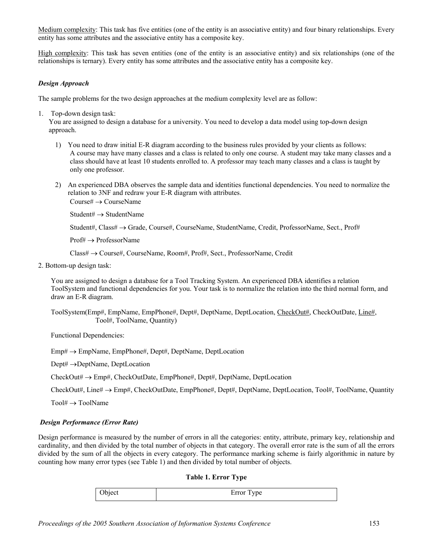Medium complexity: This task has five entities (one of the entity is an associative entity) and four binary relationships. Every entity has some attributes and the associative entity has a composite key.

High complexity: This task has seven entities (one of the entity is an associative entity) and six relationships (one of the relationships is ternary). Every entity has some attributes and the associative entity has a composite key.

#### *Design Approach*

The sample problems for the two design approaches at the medium complexity level are as follow:

1. Top-down design task:

You are assigned to design a database for a university. You need to develop a data model using top-down design approach.

- 1) You need to draw initial E-R diagram according to the business rules provided by your clients as follows: class should have at least 10 students enrolled to. A professor may teach many classes and a class is taught by only one professor. A course may have many classes and a class is related to only one course. A student may take many classes and a
- 2) An experienced DBA observes the sample data and identities functional dependencies. You need to normalize the relation to 3NF and redraw your E-R diagram with attributes.  $Course# \rightarrow CourseName$

Student# → StudentName

Student#, Class# → Grade, Course#, CourseName, StudentName, Credit, ProfessorName, Sect., Prof#

 $Profit \rightarrow ProfessorName$ 

Class# → Course#, CourseName, Room#, Prof#, Sect., ProfessorName, Credit

2. Bottom-up design task:

ToolSystem and functional dependencies for you. Your task is to normalize the relation into the third normal form, and draw an E-R diagram. You are assigned to design a database for a Tool Tracking System. An experienced DBA identifies a relation

Functional Dependencies:

Emp# → EmpName, EmpPhone#, Dept#, DeptName, DeptLocation

Dept# →DeptName, DeptLocation

CheckOut# → Emp#, CheckOutDate, EmpPhone#, Dept#, DeptName, DeptLocation

CheckOut#, Line# → Emp#, CheckOutDate, EmpPhone#, Dept#, DeptName, DeptLocation, Tool#, ToolName, Quantity

 $Tool# \rightarrow ToolName$ 

#### *Design Performance (Error Rate)*

divided by the sum of all the objects in every category. The performance marking scheme is fairly algorithmic in nature by counting how many error types (see Table 1) and then divided by total number of objects. Design performance is measured by the number of errors in all the categories: entity, attribute, primary key, relationship and cardinality, and then divided by the total number of objects in that category. The overall error rate is the sum of all the errors

**Table 1. Error Type** 

| Object | Type<br>Error T<br>ັ້ |
|--------|-----------------------|
|        |                       |

ToolSystem(Emp#, EmpName, EmpPhone#, Dept#, DeptName, DeptLocation, CheckOut#, CheckOutDate, Line#, Tool#, ToolName, Quantity)